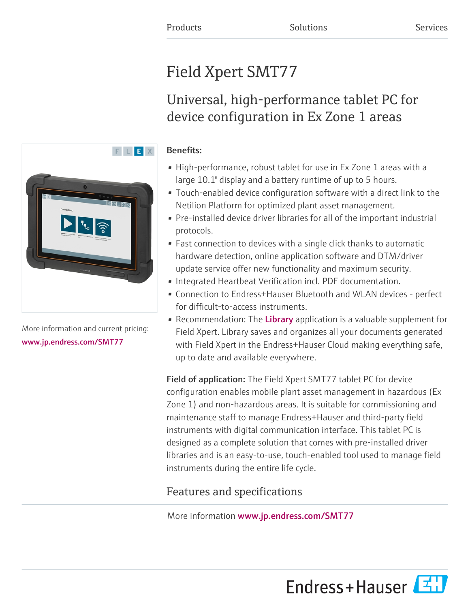# Field Xpert SMT77

## Universal, high-performance tablet PC for device configuration in Ex Zone 1 areas

# F L E X

More information and current pricing: [www.jp.endress.com/SMT77](https://www.jp.endress.com/SMT77)

### Benefits:

- High-performance, robust tablet for use in Ex Zone 1 areas with a large 10.1" display and a battery runtime of up to 5 hours.
- Touch-enabled device configuration software with a direct link to the Netilion Platform for optimized plant asset management.
- Pre-installed device driver libraries for all of the important industrial protocols.
- Fast connection to devices with a single click thanks to automatic hardware detection, online application software and DTM/driver update service offer new functionality and maximum security.
- Integrated Heartbeat Verification incl. PDF documentation.
- Connection to Endress+Hauser Bluetooth and WLAN devices perfect for difficult-to-access instruments.
- Recommendation: The [Library](https://iiot.endress.com/library) application is a valuable supplement for Field Xpert. Library saves and organizes all your documents generated with Field Xpert in the Endress+Hauser Cloud making everything safe, up to date and available everywhere.

Field of application: The Field Xpert SMT77 tablet PC for device configuration enables mobile plant asset management in hazardous (Ex Zone 1) and non-hazardous areas. It is suitable for commissioning and maintenance staff to manage Endress+Hauser and third-party field instruments with digital communication interface. This tablet PC is designed as a complete solution that comes with pre-installed driver libraries and is an easy-to-use, touch-enabled tool used to manage field instruments during the entire life cycle.

## Features and specifications

More information [www.jp.endress.com/SMT77](https://www.jp.endress.com/SMT77)